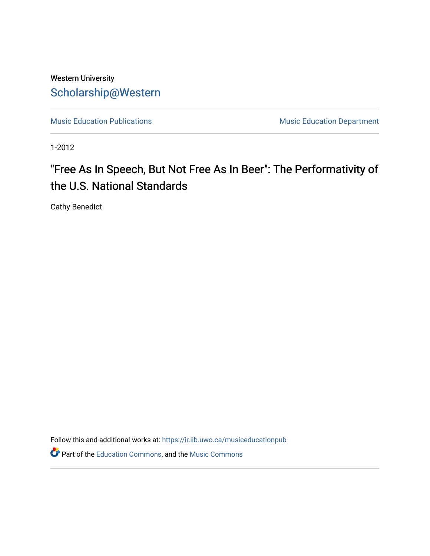# Western University [Scholarship@Western](https://ir.lib.uwo.ca/)

[Music Education Publications](https://ir.lib.uwo.ca/musiceducationpub) **Music Education Department** 

1-2012

# "Free As In Speech, But Not Free As In Beer": The Performativity of the U.S. National Standards

Cathy Benedict

Follow this and additional works at: [https://ir.lib.uwo.ca/musiceducationpub](https://ir.lib.uwo.ca/musiceducationpub?utm_source=ir.lib.uwo.ca%2Fmusiceducationpub%2F1&utm_medium=PDF&utm_campaign=PDFCoverPages) Part of the [Education Commons](http://network.bepress.com/hgg/discipline/784?utm_source=ir.lib.uwo.ca%2Fmusiceducationpub%2F1&utm_medium=PDF&utm_campaign=PDFCoverPages), and the [Music Commons](http://network.bepress.com/hgg/discipline/518?utm_source=ir.lib.uwo.ca%2Fmusiceducationpub%2F1&utm_medium=PDF&utm_campaign=PDFCoverPages)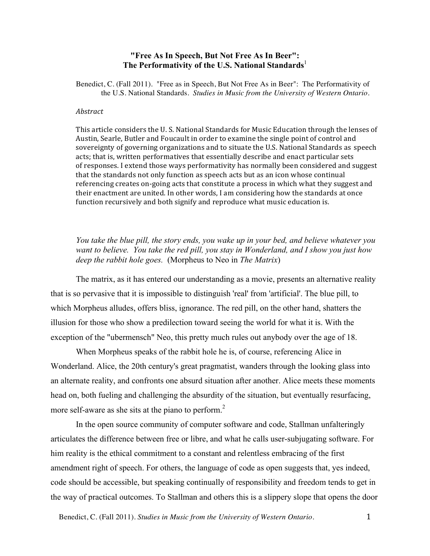# **"Free As In Speech, But Not Free As In Beer": The Performativity of the U.S. National Standards**<sup>1</sup>

Benedict, C. (Fall 2011). "Free as in Speech, But Not Free As in Beer": The Performativity of the U.S. National Standards. *Studies in Music from the University of Western Ontario*.

#### *Abstract*

This article considers the U.S. National Standards for Music Education through the lenses of Austin, Searle, Butler and Foucault in order to examine the single point of control and sovereignty of governing organizations and to situate the U.S. National Standards as speech acts; that is, written performatives that essentially describe and enact particular sets of responses. I extend those ways performativity has normally been considered and suggest that the standards not only function as speech acts but as an icon whose continual referencing creates on-going acts that constitute a process in which what they suggest and their enactment are united. In other words, I am considering how the standards at once function recursively and both signify and reproduce what music education is.

*You take the blue pill, the story ends, you wake up in your bed, and believe whatever you want to believe. You take the red pill, you stay in Wonderland, and I show you just how deep the rabbit hole goes.* (Morpheus to Neo in *The Matrix*)

The matrix, as it has entered our understanding as a movie, presents an alternative reality that is so pervasive that it is impossible to distinguish 'real' from 'artificial'. The blue pill, to which Morpheus alludes, offers bliss, ignorance. The red pill, on the other hand, shatters the illusion for those who show a predilection toward seeing the world for what it is. With the exception of the "ubermensch" Neo, this pretty much rules out anybody over the age of 18.

When Morpheus speaks of the rabbit hole he is, of course, referencing Alice in Wonderland. Alice, the 20th century's great pragmatist, wanders through the looking glass into an alternate reality, and confronts one absurd situation after another. Alice meets these moments head on, both fueling and challenging the absurdity of the situation, but eventually resurfacing, more self-aware as she sits at the piano to perform.<sup>2</sup>

In the open source community of computer software and code, Stallman unfalteringly articulates the difference between free or libre, and what he calls user-subjugating software. For him reality is the ethical commitment to a constant and relentless embracing of the first amendment right of speech. For others, the language of code as open suggests that, yes indeed, code should be accessible, but speaking continually of responsibility and freedom tends to get in the way of practical outcomes. To Stallman and others this is a slippery slope that opens the door

Benedict, C. (Fall 2011). *Studies in Music from the University of Western Ontario*. 21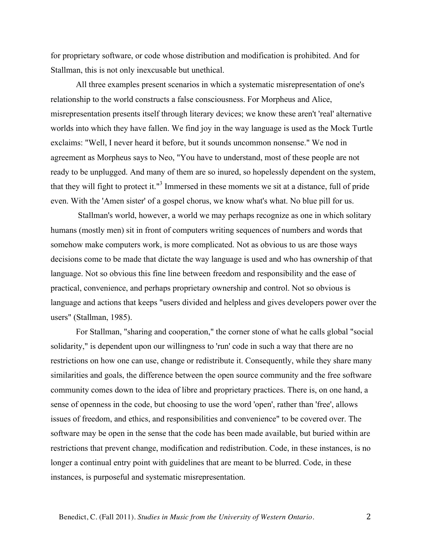for proprietary software, or code whose distribution and modification is prohibited. And for Stallman, this is not only inexcusable but unethical.

All three examples present scenarios in which a systematic misrepresentation of one's relationship to the world constructs a false consciousness. For Morpheus and Alice, misrepresentation presents itself through literary devices; we know these aren't 'real' alternative worlds into which they have fallen. We find joy in the way language is used as the Mock Turtle exclaims: "Well, I never heard it before, but it sounds uncommon nonsense." We nod in agreement as Morpheus says to Neo, "You have to understand, most of these people are not ready to be unplugged. And many of them are so inured, so hopelessly dependent on the system, that they will fight to protect it."<sup>3</sup> Immersed in these moments we sit at a distance, full of pride even. With the 'Amen sister' of a gospel chorus, we know what's what. No blue pill for us.

 Stallman's world, however, a world we may perhaps recognize as one in which solitary humans (mostly men) sit in front of computers writing sequences of numbers and words that somehow make computers work, is more complicated. Not as obvious to us are those ways decisions come to be made that dictate the way language is used and who has ownership of that language. Not so obvious this fine line between freedom and responsibility and the ease of practical, convenience, and perhaps proprietary ownership and control. Not so obvious is language and actions that keeps "users divided and helpless and gives developers power over the users" (Stallman, 1985).

For Stallman, "sharing and cooperation," the corner stone of what he calls global "social solidarity," is dependent upon our willingness to 'run' code in such a way that there are no restrictions on how one can use, change or redistribute it. Consequently, while they share many similarities and goals, the difference between the open source community and the free software community comes down to the idea of libre and proprietary practices. There is, on one hand, a sense of openness in the code, but choosing to use the word 'open', rather than 'free', allows issues of freedom, and ethics, and responsibilities and convenience" to be covered over. The software may be open in the sense that the code has been made available, but buried within are restrictions that prevent change, modification and redistribution. Code, in these instances, is no longer a continual entry point with guidelines that are meant to be blurred. Code, in these instances, is purposeful and systematic misrepresentation.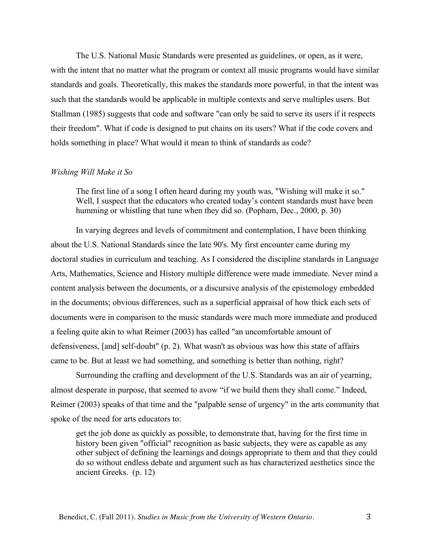The U.S. National Music Standards were presented as guidelines, or open, as it were, with the intent that no matter what the program or context all music programs would have similar standards and goals. Theoretically, this makes the standards more powerful, in that the intent was such that the standards would be applicable in multiple contexts and serve multiples users. But Stallman (1985) suggests that code and software "can only be said to serve its users if it respects their freedom". What if code is designed to put chains on its users? What if the code covers and holds something in place? What would it mean to think of standards as code?

#### *Wishing Will Make it So*

The first line of a song I often heard during my youth was, "Wishing will make it so." Well, I suspect that the educators who created today's content standards must have been humming or whistling that tune when they did so. (Popham, Dec., 2000, p. 30)

In varying degrees and levels of commitment and contemplation, I have been thinking about the U.S. National Standards since the late 90's. My first encounter came during my doctoral studies in curriculum and teaching. As I considered the discipline standards in Language Arts, Mathematics, Science and History multiple difference were made immediate. Never mind a content analysis between the documents, or a discursive analysis of the epistemology embedded in the documents; obvious differences, such as a superficial appraisal of how thick each sets of documents were in comparison to the music standards were much more immediate and produced a feeling quite akin to what Reimer (2003) has called "an uncomfortable amount of defensiveness, [and] self-doubt" (p. 2). What wasn't as obvious was how this state of affairs came to be. But at least we had something, and something is better than nothing, right?

Surrounding the crafting and development of the U.S. Standards was an air of yearning, almost desperate in purpose, that seemed to avow "if we build them they shall come." Indeed, Reimer (2003) speaks of that time and the "palpable sense of urgency" in the arts community that spoke of the need for arts educators to:

get the job done as quickly as possible, to demonstrate that, having for the first time in history been given "official" recognition as basic subjects, they were as capable as any other subject of defining the learnings and doings appropriate to them and that they could do so without endless debate and argument such as has characterized aesthetics since the ancient Greeks. (p. 12)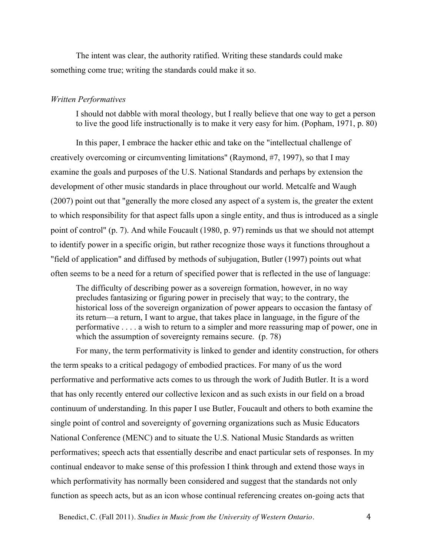The intent was clear, the authority ratified. Writing these standards could make something come true; writing the standards could make it so.

# *Written Performatives*

I should not dabble with moral theology, but I really believe that one way to get a person to live the good life instructionally is to make it very easy for him. (Popham, 1971, p. 80)

In this paper, I embrace the hacker ethic and take on the "intellectual challenge of creatively overcoming or circumventing limitations" (Raymond, #7, 1997), so that I may examine the goals and purposes of the U.S. National Standards and perhaps by extension the development of other music standards in place throughout our world. Metcalfe and Waugh (2007) point out that "generally the more closed any aspect of a system is, the greater the extent to which responsibility for that aspect falls upon a single entity, and thus is introduced as a single point of control" (p. 7). And while Foucault (1980, p. 97) reminds us that we should not attempt to identify power in a specific origin, but rather recognize those ways it functions throughout a "field of application" and diffused by methods of subjugation, Butler (1997) points out what often seems to be a need for a return of specified power that is reflected in the use of language:

The difficulty of describing power as a sovereign formation, however, in no way precludes fantasizing or figuring power in precisely that way; to the contrary, the historical loss of the sovereign organization of power appears to occasion the fantasy of its return—a return, I want to argue, that takes place in language, in the figure of the performative . . . . a wish to return to a simpler and more reassuring map of power, one in which the assumption of sovereignty remains secure. (p. 78)

For many, the term performativity is linked to gender and identity construction, for others the term speaks to a critical pedagogy of embodied practices. For many of us the word performative and performative acts comes to us through the work of Judith Butler. It is a word that has only recently entered our collective lexicon and as such exists in our field on a broad continuum of understanding. In this paper I use Butler, Foucault and others to both examine the single point of control and sovereignty of governing organizations such as Music Educators National Conference (MENC) and to situate the U.S. National Music Standards as written performatives; speech acts that essentially describe and enact particular sets of responses. In my continual endeavor to make sense of this profession I think through and extend those ways in which performativity has normally been considered and suggest that the standards not only function as speech acts, but as an icon whose continual referencing creates on-going acts that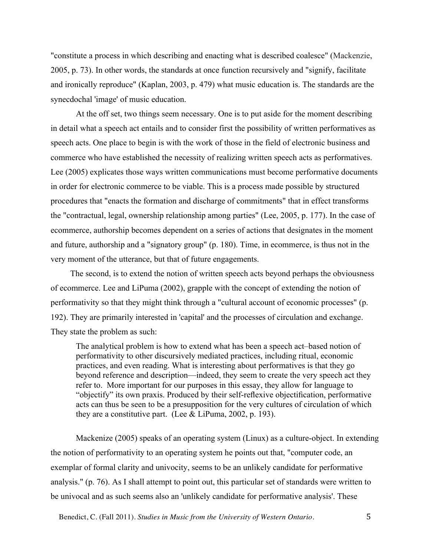"constitute a process in which describing and enacting what is described coalesce" (Mackenzie, 2005, p. 73). In other words, the standards at once function recursively and "signify, facilitate and ironically reproduce" (Kaplan, 2003, p. 479) what music education is. The standards are the synecdochal 'image' of music education.

At the off set, two things seem necessary. One is to put aside for the moment describing in detail what a speech act entails and to consider first the possibility of written performatives as speech acts. One place to begin is with the work of those in the field of electronic business and commerce who have established the necessity of realizing written speech acts as performatives. Lee (2005) explicates those ways written communications must become performative documents in order for electronic commerce to be viable. This is a process made possible by structured procedures that "enacts the formation and discharge of commitments" that in effect transforms the "contractual, legal, ownership relationship among parties" (Lee, 2005, p. 177). In the case of ecommerce, authorship becomes dependent on a series of actions that designates in the moment and future, authorship and a "signatory group" (p. 180). Time, in ecommerce, is thus not in the very moment of the utterance, but that of future engagements.

The second, is to extend the notion of written speech acts beyond perhaps the obviousness of ecommerce. Lee and LiPuma (2002), grapple with the concept of extending the notion of performativity so that they might think through a "cultural account of economic processes" (p. 192). They are primarily interested in 'capital' and the processes of circulation and exchange. They state the problem as such:

The analytical problem is how to extend what has been a speech act–based notion of performativity to other discursively mediated practices, including ritual, economic practices, and even reading. What is interesting about performatives is that they go beyond reference and description—indeed, they seem to create the very speech act they refer to. More important for our purposes in this essay, they allow for language to "objectify" its own praxis. Produced by their self-reflexive objectification, performative acts can thus be seen to be a presupposition for the very cultures of circulation of which they are a constitutive part. (Lee & LiPuma, 2002, p. 193).

Mackenize (2005) speaks of an operating system (Linux) as a culture-object. In extending the notion of performativity to an operating system he points out that, "computer code, an exemplar of formal clarity and univocity, seems to be an unlikely candidate for performative analysis." (p. 76). As I shall attempt to point out, this particular set of standards were written to be univocal and as such seems also an 'unlikely candidate for performative analysis'. These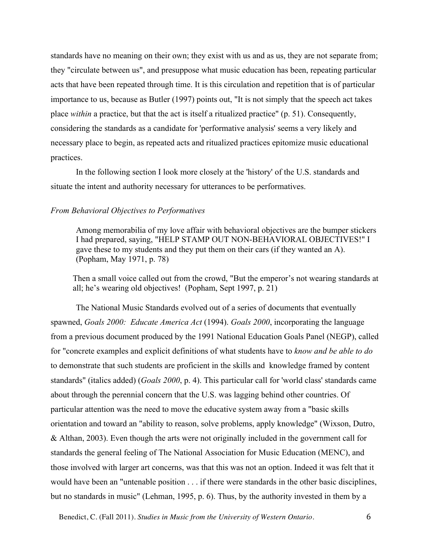standards have no meaning on their own; they exist with us and as us, they are not separate from; they "circulate between us", and presuppose what music education has been, repeating particular acts that have been repeated through time. It is this circulation and repetition that is of particular importance to us, because as Butler (1997) points out, "It is not simply that the speech act takes place *within* a practice, but that the act is itself a ritualized practice" (p. 51). Consequently, considering the standards as a candidate for 'performative analysis' seems a very likely and necessary place to begin, as repeated acts and ritualized practices epitomize music educational practices.

In the following section I look more closely at the 'history' of the U.S. standards and situate the intent and authority necessary for utterances to be performatives.

#### *From Behavioral Objectives to Performatives*

Among memorabilia of my love affair with behavioral objectives are the bumper stickers I had prepared, saying, "HELP STAMP OUT NON-BEHAVIORAL OBJECTIVES!" I gave these to my students and they put them on their cars (if they wanted an A). (Popham, May 1971, p. 78)

Then a small voice called out from the crowd, "But the emperor's not wearing standards at all; he's wearing old objectives! (Popham, Sept 1997, p. 21)

The National Music Standards evolved out of a series of documents that eventually spawned, *Goals 2000: Educate America Act* (1994). *Goals 2000*, incorporating the language from a previous document produced by the 1991 National Education Goals Panel (NEGP), called for "concrete examples and explicit definitions of what students have to *know and be able to do* to demonstrate that such students are proficient in the skills and knowledge framed by content standards" (italics added) (*Goals 2000*, p. 4). This particular call for 'world class' standards came about through the perennial concern that the U.S. was lagging behind other countries. Of particular attention was the need to move the educative system away from a "basic skills orientation and toward an "ability to reason, solve problems, apply knowledge" (Wixson, Dutro, & Althan, 2003). Even though the arts were not originally included in the government call for standards the general feeling of The National Association for Music Education (MENC), and those involved with larger art concerns, was that this was not an option. Indeed it was felt that it would have been an "untenable position . . . if there were standards in the other basic disciplines, but no standards in music" (Lehman, 1995, p. 6). Thus, by the authority invested in them by a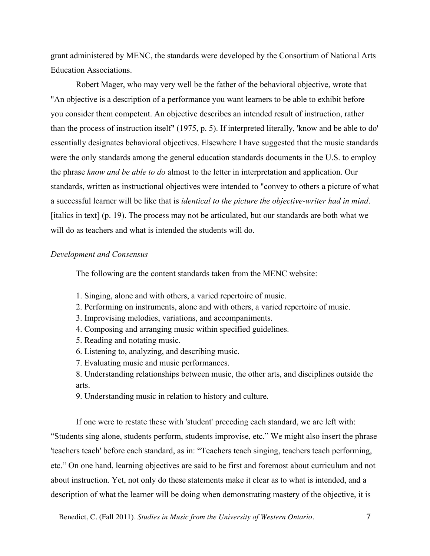grant administered by MENC, the standards were developed by the Consortium of National Arts Education Associations.

Robert Mager, who may very well be the father of the behavioral objective, wrote that "An objective is a description of a performance you want learners to be able to exhibit before you consider them competent. An objective describes an intended result of instruction, rather than the process of instruction itself" (1975, p. 5). If interpreted literally, 'know and be able to do' essentially designates behavioral objectives. Elsewhere I have suggested that the music standards were the only standards among the general education standards documents in the U.S. to employ the phrase *know and be able to do* almost to the letter in interpretation and application. Our standards, written as instructional objectives were intended to "convey to others a picture of what a successful learner will be like that is *identical to the picture the objective-writer had in mind*. [italics in text] (p. 19). The process may not be articulated, but our standards are both what we will do as teachers and what is intended the students will do.

# *Development and Consensus*

The following are the content standards taken from the MENC website:

- 1. Singing, alone and with others, a varied repertoire of music.
- 2. Performing on instruments, alone and with others, a varied repertoire of music.
- 3. Improvising melodies, variations, and accompaniments.
- 4. Composing and arranging music within specified guidelines.
- 5. Reading and notating music.
- 6. Listening to, analyzing, and describing music.
- 7. Evaluating music and music performances.

8. Understanding relationships between music, the other arts, and disciplines outside the arts.

9. Understanding music in relation to history and culture.

If one were to restate these with 'student' preceding each standard, we are left with: "Students sing alone, students perform, students improvise, etc." We might also insert the phrase 'teachers teach' before each standard, as in: "Teachers teach singing, teachers teach performing, etc." On one hand, learning objectives are said to be first and foremost about curriculum and not about instruction. Yet, not only do these statements make it clear as to what is intended, and a description of what the learner will be doing when demonstrating mastery of the objective, it is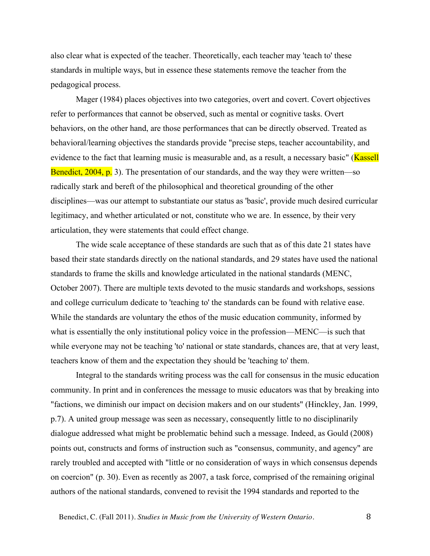also clear what is expected of the teacher. Theoretically, each teacher may 'teach to' these standards in multiple ways, but in essence these statements remove the teacher from the pedagogical process.

Mager (1984) places objectives into two categories, overt and covert. Covert objectives refer to performances that cannot be observed, such as mental or cognitive tasks. Overt behaviors, on the other hand, are those performances that can be directly observed. Treated as behavioral/learning objectives the standards provide "precise steps, teacher accountability, and evidence to the fact that learning music is measurable and, as a result, a necessary basic" (**Kassell**) Benedict, 2004, p. 3). The presentation of our standards, and the way they were written—so radically stark and bereft of the philosophical and theoretical grounding of the other disciplines—was our attempt to substantiate our status as 'basic', provide much desired curricular legitimacy, and whether articulated or not, constitute who we are. In essence, by their very articulation, they were statements that could effect change.

The wide scale acceptance of these standards are such that as of this date 21 states have based their state standards directly on the national standards, and 29 states have used the national standards to frame the skills and knowledge articulated in the national standards (MENC, October 2007). There are multiple texts devoted to the music standards and workshops, sessions and college curriculum dedicate to 'teaching to' the standards can be found with relative ease. While the standards are voluntary the ethos of the music education community, informed by what is essentially the only institutional policy voice in the profession—MENC—is such that while everyone may not be teaching 'to' national or state standards, chances are, that at very least, teachers know of them and the expectation they should be 'teaching to' them.

Integral to the standards writing process was the call for consensus in the music education community. In print and in conferences the message to music educators was that by breaking into "factions, we diminish our impact on decision makers and on our students" (Hinckley, Jan. 1999, p.7). A united group message was seen as necessary, consequently little to no disciplinarily dialogue addressed what might be problematic behind such a message. Indeed, as Gould (2008) points out, constructs and forms of instruction such as "consensus, community, and agency" are rarely troubled and accepted with "little or no consideration of ways in which consensus depends on coercion" (p. 30). Even as recently as 2007, a task force, comprised of the remaining original authors of the national standards, convened to revisit the 1994 standards and reported to the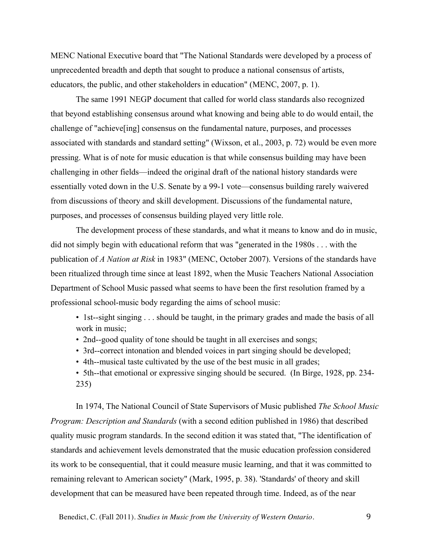MENC National Executive board that "The National Standards were developed by a process of unprecedented breadth and depth that sought to produce a national consensus of artists, educators, the public, and other stakeholders in education" (MENC, 2007, p. 1).

The same 1991 NEGP document that called for world class standards also recognized that beyond establishing consensus around what knowing and being able to do would entail, the challenge of "achieve[ing] consensus on the fundamental nature, purposes, and processes associated with standards and standard setting" (Wixson, et al., 2003, p. 72) would be even more pressing. What is of note for music education is that while consensus building may have been challenging in other fields—indeed the original draft of the national history standards were essentially voted down in the U.S. Senate by a 99-1 vote—consensus building rarely waivered from discussions of theory and skill development. Discussions of the fundamental nature, purposes, and processes of consensus building played very little role.

The development process of these standards, and what it means to know and do in music, did not simply begin with educational reform that was "generated in the 1980s . . . with the publication of *A Nation at Risk* in 1983" (MENC, October 2007). Versions of the standards have been ritualized through time since at least 1892, when the Music Teachers National Association Department of School Music passed what seems to have been the first resolution framed by a professional school-music body regarding the aims of school music:

- 1st--sight singing . . . should be taught, in the primary grades and made the basis of all work in music;
- 2nd--good quality of tone should be taught in all exercises and songs;
- 3rd--correct intonation and blended voices in part singing should be developed;
- 4th--musical taste cultivated by the use of the best music in all grades;
- 5th--that emotional or expressive singing should be secured. (In Birge, 1928, pp. 234- 235)

In 1974, The National Council of State Supervisors of Music published *The School Music Program: Description and Standards* (with a second edition published in 1986) that described quality music program standards. In the second edition it was stated that, "The identification of standards and achievement levels demonstrated that the music education profession considered its work to be consequential, that it could measure music learning, and that it was committed to remaining relevant to American society" (Mark, 1995, p. 38). 'Standards' of theory and skill development that can be measured have been repeated through time. Indeed, as of the near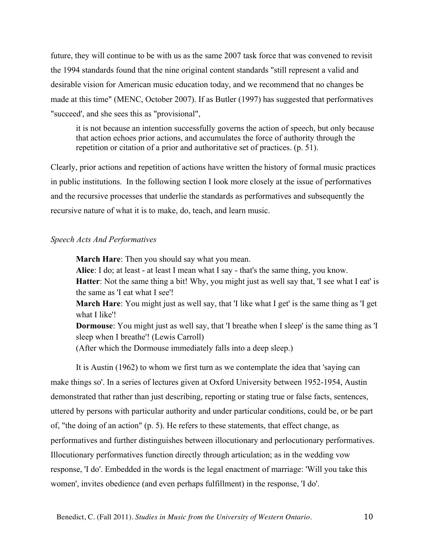future, they will continue to be with us as the same 2007 task force that was convened to revisit the 1994 standards found that the nine original content standards "still represent a valid and desirable vision for American music education today, and we recommend that no changes be made at this time" (MENC, October 2007). If as Butler (1997) has suggested that performatives "succeed', and she sees this as "provisional",

it is not because an intention successfully governs the action of speech, but only because that action echoes prior actions, and accumulates the force of authority through the repetition or citation of a prior and authoritative set of practices. (p. 51).

Clearly, prior actions and repetition of actions have written the history of formal music practices in public institutions. In the following section I look more closely at the issue of performatives and the recursive processes that underlie the standards as performatives and subsequently the recursive nature of what it is to make, do, teach, and learn music.

# *Speech Acts And Performatives*

**March Hare**: Then you should say what you mean.

**Alice**: I do; at least - at least I mean what I say - that's the same thing, you know. **Hatter**: Not the same thing a bit! Why, you might just as well say that, 'I see what I eat' is the same as 'I eat what I see'!

**March Hare**: You might just as well say, that 'I like what I get' is the same thing as 'I get what I like'!

**Dormouse**: You might just as well say, that 'I breathe when I sleep' is the same thing as 'I sleep when I breathe'! (Lewis Carroll)

(After which the Dormouse immediately falls into a deep sleep.)

It is Austin (1962) to whom we first turn as we contemplate the idea that 'saying can make things so'. In a series of lectures given at Oxford University between 1952-1954, Austin demonstrated that rather than just describing, reporting or stating true or false facts, sentences, uttered by persons with particular authority and under particular conditions, could be, or be part of, "the doing of an action" (p. 5). He refers to these statements, that effect change, as performatives and further distinguishes between illocutionary and perlocutionary performatives. Illocutionary performatives function directly through articulation; as in the wedding vow response, 'I do'. Embedded in the words is the legal enactment of marriage: 'Will you take this women', invites obedience (and even perhaps fulfillment) in the response, 'I do'.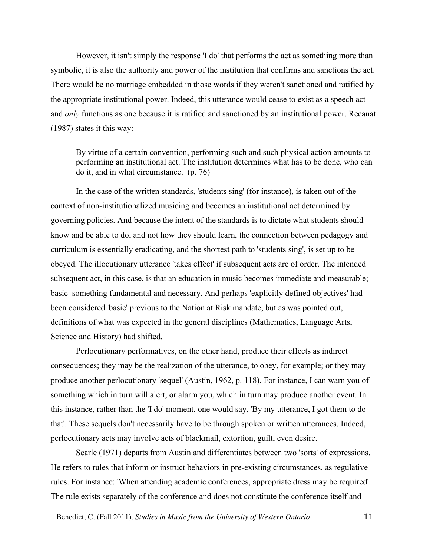However, it isn't simply the response 'I do' that performs the act as something more than symbolic, it is also the authority and power of the institution that confirms and sanctions the act. There would be no marriage embedded in those words if they weren't sanctioned and ratified by the appropriate institutional power. Indeed, this utterance would cease to exist as a speech act and *only* functions as one because it is ratified and sanctioned by an institutional power. Recanati (1987) states it this way:

By virtue of a certain convention, performing such and such physical action amounts to performing an institutional act. The institution determines what has to be done, who can do it, and in what circumstance. (p. 76)

In the case of the written standards, 'students sing' (for instance), is taken out of the context of non-institutionalized musicing and becomes an institutional act determined by governing policies. And because the intent of the standards is to dictate what students should know and be able to do, and not how they should learn, the connection between pedagogy and curriculum is essentially eradicating, and the shortest path to 'students sing', is set up to be obeyed. The illocutionary utterance 'takes effect' if subsequent acts are of order. The intended subsequent act, in this case, is that an education in music becomes immediate and measurable; basic–something fundamental and necessary. And perhaps 'explicitly defined objectives' had been considered 'basic' previous to the Nation at Risk mandate, but as was pointed out, definitions of what was expected in the general disciplines (Mathematics, Language Arts, Science and History) had shifted.

Perlocutionary performatives, on the other hand, produce their effects as indirect consequences; they may be the realization of the utterance, to obey, for example; or they may produce another perlocutionary 'sequel' (Austin, 1962, p. 118). For instance, I can warn you of something which in turn will alert, or alarm you, which in turn may produce another event. In this instance, rather than the 'I do' moment, one would say, 'By my utterance, I got them to do that'. These sequels don't necessarily have to be through spoken or written utterances. Indeed, perlocutionary acts may involve acts of blackmail, extortion, guilt, even desire.

Searle (1971) departs from Austin and differentiates between two 'sorts' of expressions. He refers to rules that inform or instruct behaviors in pre-existing circumstances, as regulative rules. For instance: 'When attending academic conferences, appropriate dress may be required'. The rule exists separately of the conference and does not constitute the conference itself and

Benedict, C. (Fall 2011). *Studies in Music from the University of Western Ontario.* 11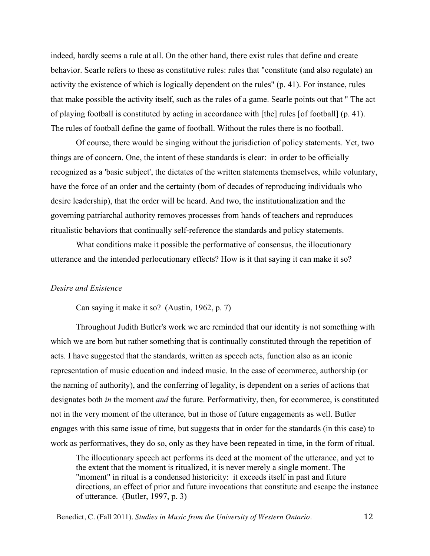indeed, hardly seems a rule at all. On the other hand, there exist rules that define and create behavior. Searle refers to these as constitutive rules: rules that "constitute (and also regulate) an activity the existence of which is logically dependent on the rules" (p. 41). For instance, rules that make possible the activity itself, such as the rules of a game. Searle points out that " The act of playing football is constituted by acting in accordance with [the] rules [of football] (p. 41). The rules of football define the game of football. Without the rules there is no football.

Of course, there would be singing without the jurisdiction of policy statements. Yet, two things are of concern. One, the intent of these standards is clear: in order to be officially recognized as a 'basic subject', the dictates of the written statements themselves, while voluntary, have the force of an order and the certainty (born of decades of reproducing individuals who desire leadership), that the order will be heard. And two, the institutionalization and the governing patriarchal authority removes processes from hands of teachers and reproduces ritualistic behaviors that continually self-reference the standards and policy statements.

What conditions make it possible the performative of consensus, the illocutionary utterance and the intended perlocutionary effects? How is it that saying it can make it so?

## *Desire and Existence*

Can saying it make it so? (Austin, 1962, p. 7)

Throughout Judith Butler's work we are reminded that our identity is not something with which we are born but rather something that is continually constituted through the repetition of acts. I have suggested that the standards, written as speech acts, function also as an iconic representation of music education and indeed music. In the case of ecommerce, authorship (or the naming of authority), and the conferring of legality, is dependent on a series of actions that designates both *in* the moment *and* the future. Performativity, then, for ecommerce, is constituted not in the very moment of the utterance, but in those of future engagements as well. Butler engages with this same issue of time, but suggests that in order for the standards (in this case) to work as performatives, they do so, only as they have been repeated in time, in the form of ritual.

The illocutionary speech act performs its deed at the moment of the utterance, and yet to the extent that the moment is ritualized, it is never merely a single moment. The "moment" in ritual is a condensed historicity: it exceeds itself in past and future directions, an effect of prior and future invocations that constitute and escape the instance of utterance. (Butler, 1997, p. 3)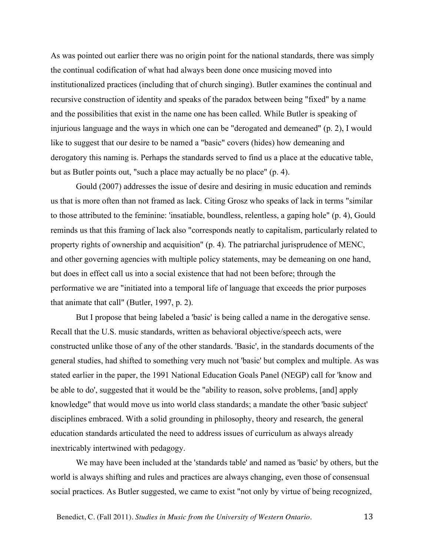As was pointed out earlier there was no origin point for the national standards, there was simply the continual codification of what had always been done once musicing moved into institutionalized practices (including that of church singing). Butler examines the continual and recursive construction of identity and speaks of the paradox between being "fixed" by a name and the possibilities that exist in the name one has been called. While Butler is speaking of injurious language and the ways in which one can be "derogated and demeaned" (p. 2), I would like to suggest that our desire to be named a "basic" covers (hides) how demeaning and derogatory this naming is. Perhaps the standards served to find us a place at the educative table, but as Butler points out, "such a place may actually be no place" (p. 4).

Gould (2007) addresses the issue of desire and desiring in music education and reminds us that is more often than not framed as lack. Citing Grosz who speaks of lack in terms "similar to those attributed to the feminine: 'insatiable, boundless, relentless, a gaping hole" (p. 4), Gould reminds us that this framing of lack also "corresponds neatly to capitalism, particularly related to property rights of ownership and acquisition" (p. 4). The patriarchal jurisprudence of MENC, and other governing agencies with multiple policy statements, may be demeaning on one hand, but does in effect call us into a social existence that had not been before; through the performative we are "initiated into a temporal life of language that exceeds the prior purposes that animate that call" (Butler, 1997, p. 2).

But I propose that being labeled a 'basic' is being called a name in the derogative sense. Recall that the U.S. music standards, written as behavioral objective/speech acts, were constructed unlike those of any of the other standards. 'Basic', in the standards documents of the general studies, had shifted to something very much not 'basic' but complex and multiple. As was stated earlier in the paper, the 1991 National Education Goals Panel (NEGP) call for 'know and be able to do', suggested that it would be the "ability to reason, solve problems, [and] apply knowledge" that would move us into world class standards; a mandate the other 'basic subject' disciplines embraced. With a solid grounding in philosophy, theory and research, the general education standards articulated the need to address issues of curriculum as always already inextricably intertwined with pedagogy.

We may have been included at the 'standards table' and named as 'basic' by others, but the world is always shifting and rules and practices are always changing, even those of consensual social practices. As Butler suggested, we came to exist "not only by virtue of being recognized,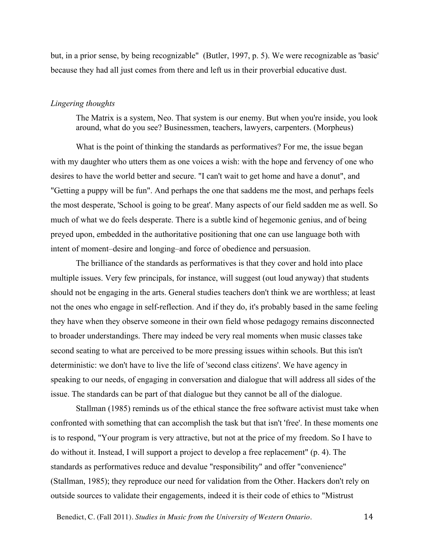but, in a prior sense, by being recognizable" (Butler, 1997, p. 5). We were recognizable as 'basic' because they had all just comes from there and left us in their proverbial educative dust.

### *Lingering thoughts*

The Matrix is a system, Neo. That system is our enemy. But when you're inside, you look around, what do you see? Businessmen, teachers, lawyers, carpenters. (Morpheus)

What is the point of thinking the standards as performatives? For me, the issue began with my daughter who utters them as one voices a wish: with the hope and fervency of one who desires to have the world better and secure. "I can't wait to get home and have a donut", and "Getting a puppy will be fun". And perhaps the one that saddens me the most, and perhaps feels the most desperate, 'School is going to be great'. Many aspects of our field sadden me as well. So much of what we do feels desperate. There is a subtle kind of hegemonic genius, and of being preyed upon, embedded in the authoritative positioning that one can use language both with intent of moment–desire and longing–and force of obedience and persuasion.

The brilliance of the standards as performatives is that they cover and hold into place multiple issues. Very few principals, for instance, will suggest (out loud anyway) that students should not be engaging in the arts. General studies teachers don't think we are worthless; at least not the ones who engage in self-reflection. And if they do, it's probably based in the same feeling they have when they observe someone in their own field whose pedagogy remains disconnected to broader understandings. There may indeed be very real moments when music classes take second seating to what are perceived to be more pressing issues within schools. But this isn't deterministic: we don't have to live the life of 'second class citizens'. We have agency in speaking to our needs, of engaging in conversation and dialogue that will address all sides of the issue. The standards can be part of that dialogue but they cannot be all of the dialogue.

Stallman (1985) reminds us of the ethical stance the free software activist must take when confronted with something that can accomplish the task but that isn't 'free'. In these moments one is to respond, "Your program is very attractive, but not at the price of my freedom. So I have to do without it. Instead, I will support a project to develop a free replacement" (p. 4). The standards as performatives reduce and devalue "responsibility" and offer "convenience" (Stallman, 1985); they reproduce our need for validation from the Other. Hackers don't rely on outside sources to validate their engagements, indeed it is their code of ethics to "Mistrust

Benedict, C. (Fall 2011). *Studies in Music from the University of Western Ontario.* 14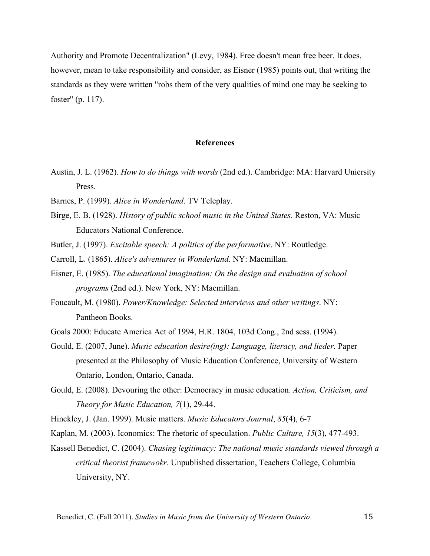Authority and Promote Decentralization" (Levy, 1984). Free doesn't mean free beer. It does, however, mean to take responsibility and consider, as Eisner (1985) points out, that writing the standards as they were written "robs them of the very qualities of mind one may be seeking to foster" (p. 117).

## **References**

- Austin, J. L. (1962). *How to do things with words* (2nd ed.). Cambridge: MA: Harvard Uniersity Press.
- Barnes, P. (1999). *Alice in Wonderland*. TV Teleplay.
- Birge, E. B. (1928). *History of public school music in the United States.* Reston, VA: Music Educators National Conference.
- Butler, J. (1997). *Excitable speech: A politics of the performative*. NY: Routledge.
- Carroll, L. (1865). *Alice's adventures in Wonderland*. NY: Macmillan.
- Eisner, E. (1985). *The educational imagination: On the design and evaluation of school programs* (2nd ed.). New York, NY: Macmillan.
- Foucault, M. (1980). *Power/Knowledge: Selected interviews and other writings*. NY: Pantheon Books.
- Goals 2000: Educate America Act of 1994, H.R. 1804, 103d Cong., 2nd sess. (1994).
- Gould, E. (2007, June). *Music education desire(ing): Language, literacy, and lieder.* Paper presented at the Philosophy of Music Education Conference, University of Western Ontario, London, Ontario, Canada.
- Gould, E. (2008). Devouring the other: Democracy in music education. *Action, Criticism, and Theory for Music Education, 7*(1), 29-44.
- Hinckley, J. (Jan. 1999). Music matters. *Music Educators Journal*, *85*(4), 6-7
- Kaplan, M. (2003). Iconomics: The rhetoric of speculation. *Public Culture, 15*(3), 477-493.
- Kassell Benedict, C. (2004). *Chasing legitimacy: The national music standards viewed through a critical theorist framewokr.* Unpublished dissertation, Teachers College, Columbia University, NY.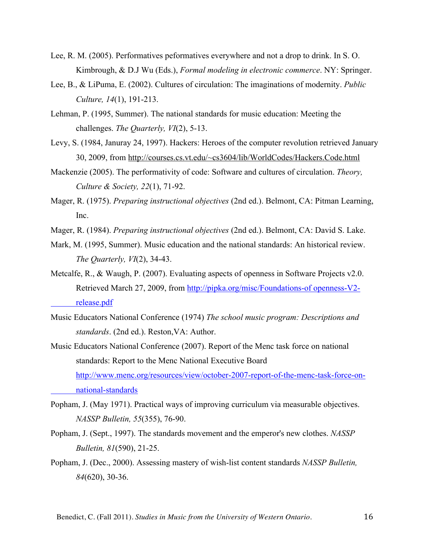- Lee, R. M. (2005). Performatives peformatives everywhere and not a drop to drink. In S. O. Kimbrough, & D.J Wu (Eds.), *Formal modeling in electronic commerce*. NY: Springer.
- Lee, B., & LiPuma, E. (2002). Cultures of circulation: The imaginations of modernity. *Public Culture, 14*(1), 191-213.
- Lehman, P. (1995, Summer). The national standards for music education: Meeting the challenges. *The Quarterly, VI*(2), 5-13.
- Levy, S. (1984, Januray 24, 1997). Hackers: Heroes of the computer revolution retrieved January 30, 2009, from http://courses.cs.vt.edu/~cs3604/lib/WorldCodes/Hackers.Code.html
- Mackenzie (2005). The performativity of code: Software and cultures of circulation. *Theory, Culture & Society, 22*(1), 71-92.
- Mager, R. (1975). *Preparing instructional objectives* (2nd ed.). Belmont, CA: Pitman Learning, Inc.
- Mager, R. (1984). *Preparing instructional objectives* (2nd ed.). Belmont, CA: David S. Lake.
- Mark, M. (1995, Summer). Music education and the national standards: An historical review. *The Quarterly, VI*(2), 34-43.
- Metcalfe, R., & Waugh, P. (2007). Evaluating aspects of openness in Software Projects v2.0. Retrieved March 27, 2009, from http://pipka.org/misc/Foundations-of openness-V2 release.pdf
- Music Educators National Conference (1974) *The school music program: Descriptions and standards*. (2nd ed.). Reston,VA: Author.
- Music Educators National Conference (2007). Report of the Menc task force on national standards: Report to the Menc National Executive Board http://www.menc.org/resources/view/october-2007-report-of-the-menc-task-force-onnational-standards
- Popham, J. (May 1971). Practical ways of improving curriculum via measurable objectives. *NASSP Bulletin, 55*(355), 76-90.
- Popham, J. (Sept., 1997). The standards movement and the emperor's new clothes. *NASSP Bulletin, 81*(590), 21-25.
- Popham, J. (Dec., 2000). Assessing mastery of wish-list content standards *NASSP Bulletin, 84*(620), 30-36.